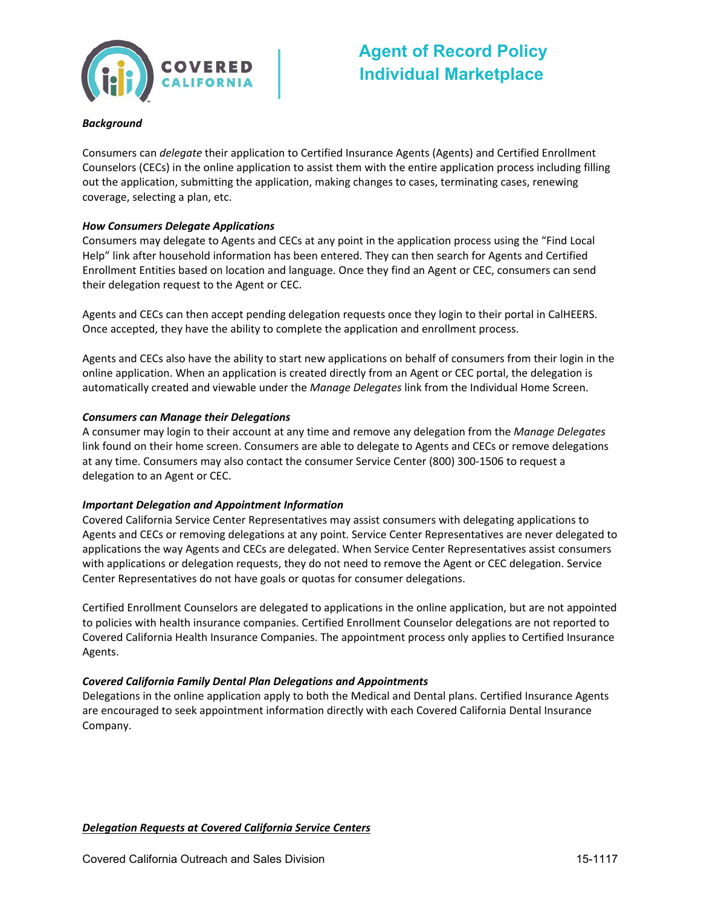

## **Agent of Record Policy Individual Marketplace**

#### *Background*

 Consumers can *delegate* their application to Certified Insurance Agents (Agents) and Certified Enrollment Counselors (CECs) in the online application to assist them with the entire application process including filling out the application, submitting the application, making changes to cases, terminating cases, renewing coverage, selecting a plan, etc.

#### *How Consumers Delegate Applications*

 Consumers may delegate to Agents and CECs at any point in the application process using the "Find Local Help" link after household information has been entered. They can then search for Agents and Certified Enrollment Entities based on location and language. Once they find an Agent or CEC, consumers can send their delegation request to the Agent or CEC.

 Agents and CECs can then accept pending delegation requests once they login to their portal in CalHEERS. Once accepted, they have the ability to complete the application and enrollment process.

 Agents and CECs also have the ability to start new applications on behalf of consumers from their login in the online application. When an application is created directly from an Agent or CEC portal, the delegation is automatically created and viewable under the *Manage Delegates* link from the Individual Home Screen.

#### *Consumers can Manage their Delegations*

 A consumer may login to their account at any time and remove any delegation from the *Manage Delegates* link found on their home screen. Consumers are able to delegate to Agents and CECs or remove delegations at any time. Consumers may also contact the consumer Service Center (800) 300‐1506 to request a delegation to an Agent or CEC.

#### *Important Delegation and Appointment Information*

 Covered California Service Center Representatives may assist consumers with delegating applications to Agents and CECs or removing delegations at any point. Service Center Representatives are never delegated to applications the way Agents and CECs are delegated. When Service Center Representatives assist consumers with applications or delegation requests, they do not need to remove the Agent or CEC delegation. Service Center Representatives do not have goals or quotas for consumer delegations.

 Certified Enrollment Counselors are delegated to applications in the online application, but are not appointed to policies with health insurance companies. Certified Enrollment Counselor delegations are not reported to Covered California Health Insurance Companies. The appointment process only applies to Certified Insurance Agents.

#### *Covered California Family Dental Plan Delegations and Appointments*

 Delegations in the online application apply to both the Medical and Dental plans. Certified Insurance Agents are encouraged to seek appointment information directly with each Covered California Dental Insurance Company.